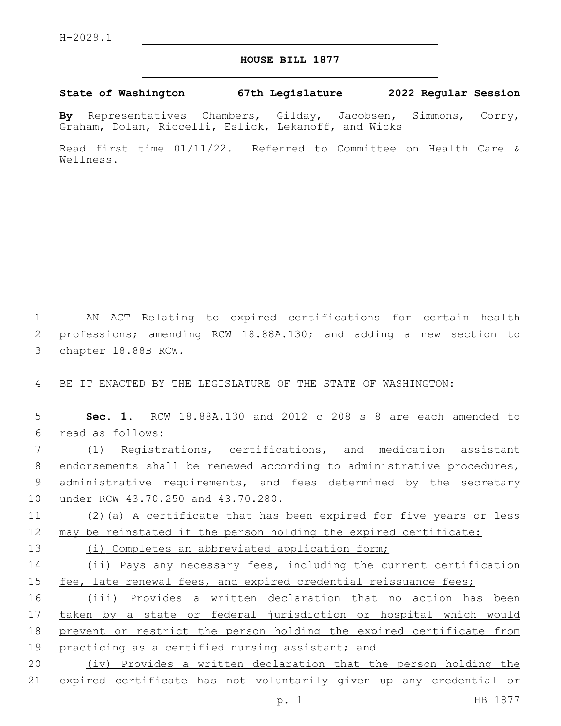## **HOUSE BILL 1877**

## **State of Washington 67th Legislature 2022 Regular Session**

**By** Representatives Chambers, Gilday, Jacobsen, Simmons, Corry, Graham, Dolan, Riccelli, Eslick, Lekanoff, and Wicks

Read first time 01/11/22. Referred to Committee on Health Care & Wellness.

1 AN ACT Relating to expired certifications for certain health 2 professions; amending RCW 18.88A.130; and adding a new section to 3 chapter 18.88B RCW.

4 BE IT ENACTED BY THE LEGISLATURE OF THE STATE OF WASHINGTON:

5 **Sec. 1.** RCW 18.88A.130 and 2012 c 208 s 8 are each amended to read as follows:6

 (1) Registrations, certifications, and medication assistant endorsements shall be renewed according to administrative procedures, administrative requirements, and fees determined by the secretary 10 under RCW 43.70.250 and 43.70.280.

11 (2)(a) A certificate that has been expired for five years or less 12 may be reinstated if the person holding the expired certificate:

13 (i) Completes an abbreviated application form;

14 (ii) Pays any necessary fees, including the current certification 15 fee, late renewal fees, and expired credential reissuance fees;

16 (iii) Provides a written declaration that no action has been 17 taken by a state or federal jurisdiction or hospital which would 18 prevent or restrict the person holding the expired certificate from 19 practicing as a certified nursing assistant; and

20 (iv) Provides a written declaration that the person holding the 21 expired certificate has not voluntarily given up any credential or